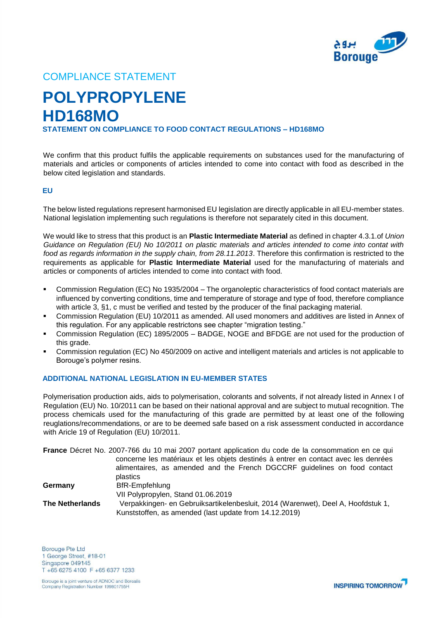

## COMPLIANCE STATEMENT

# **POLYPROPYLENE HD168MO STATEMENT ON COMPLIANCE TO FOOD CONTACT REGULATIONS – HD168MO**

We confirm that this product fulfils the applicable requirements on substances used for the manufacturing of materials and articles or components of articles intended to come into contact with food as described in the below cited legislation and standards.

#### **EU**

The below listed regulations represent harmonised EU legislation are directly applicable in all EU-member states. National legislation implementing such regulations is therefore not separately cited in this document.

We would like to stress that this product is an **Plastic Intermediate Material** as defined in chapter 4.3.1.of *Union Guidance on Regulation (EU) No 10/2011 on plastic materials and articles intended to come into contat with food as regards information in the supply chain, from 28.11.2013*. Therefore this confirmation is restricted to the requirements as applicable for **Plastic Intermediate Material** used for the manufacturing of materials and articles or components of articles intended to come into contact with food.

- Commission Regulation (EC) No 1935/2004 The organoleptic characteristics of food contact materials are influenced by converting conditions, time and temperature of storage and type of food, therefore compliance with article 3, §1, c must be verified and tested by the producer of the final packaging material.
- Commission Regulation (EU) 10/2011 as amended. All used monomers and additives are listed in Annex of this regulation. For any applicable restrictons see chapter "migration testing."
- Commission Regulation (EC) 1895/2005 BADGE, NOGE and BFDGE are not used for the production of this grade.
- Commission regulation (EC) No 450/2009 on active and intelligent materials and articles is not applicable to Borouge's polymer resins.

### **ADDITIONAL NATIONAL LEGISLATION IN EU-MEMBER STATES**

Polymerisation production aids, aids to polymerisation, colorants and solvents, if not already listed in Annex I of Regulation (EU) No. 10/2011 can be based on their national approval and are subject to mutual recognition. The process chemicals used for the manufacturing of this grade are permitted by at least one of the following reuglations/recommendations, or are to be deemed safe based on a risk assessment conducted in accordance with Aricle 19 of Regulation (EU) 10/2011.

**France** Décret No. 2007-766 du 10 mai 2007 portant application du code de la consommation en ce qui concerne les matériaux et les objets destinés à entrer en contact avec les denrées alimentaires, as amended and the French DGCCRF guidelines on food contact plastics Germany **BfR-Empfehlung** VII Polypropylen, Stand 01.06.2019 **The Netherlands** Verpakkingen- en Gebruiksartikelenbesluit, 2014 (Warenwet), Deel A, Hoofdstuk 1, Kunststoffen, as amended (last update from 14.12.2019)

Borouge Pte Ltd 1 George Street, #18-01 Singapore 049145 T +65 6275 4100 F +65 6377 1233

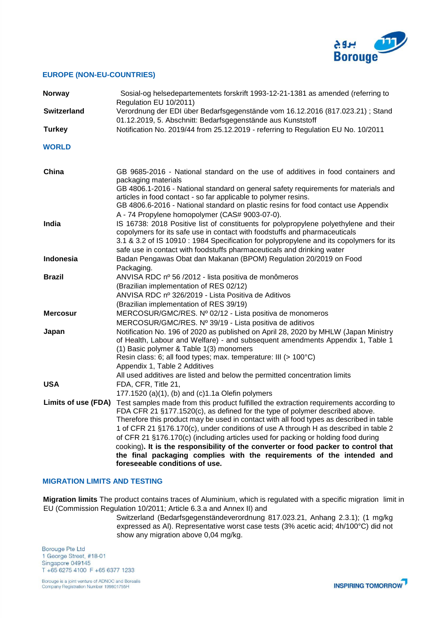

#### **EUROPE (NON-EU-COUNTRIES)**

| <b>Norway</b>      | Sosial-og helsedepartementets forskrift 1993-12-21-1381 as amended (referring to<br>Regulation EU 10/2011)                                                                                                                                                                                                                                                                                                                                                                                                                                                                                                                                                           |
|--------------------|----------------------------------------------------------------------------------------------------------------------------------------------------------------------------------------------------------------------------------------------------------------------------------------------------------------------------------------------------------------------------------------------------------------------------------------------------------------------------------------------------------------------------------------------------------------------------------------------------------------------------------------------------------------------|
| <b>Switzerland</b> | Verordnung der EDI über Bedarfsgegenstände vom 16.12.2016 (817.023.21) ; Stand<br>01.12.2019, 5. Abschnitt: Bedarfsgegenstände aus Kunststoff                                                                                                                                                                                                                                                                                                                                                                                                                                                                                                                        |
| <b>Turkey</b>      | Notification No. 2019/44 from 25.12.2019 - referring to Regulation EU No. 10/2011                                                                                                                                                                                                                                                                                                                                                                                                                                                                                                                                                                                    |
| <b>WORLD</b>       |                                                                                                                                                                                                                                                                                                                                                                                                                                                                                                                                                                                                                                                                      |
| China              | GB 9685-2016 - National standard on the use of additives in food containers and<br>packaging materials<br>GB 4806.1-2016 - National standard on general safety requirements for materials and<br>articles in food contact - so far applicable to polymer resins.<br>GB 4806.6-2016 - National standard on plastic resins for food contact use Appendix<br>A - 74 Propylene homopolymer (CAS# 9003-07-0).                                                                                                                                                                                                                                                             |
| India              | IS 16738: 2018 Positive list of constituents for polypropylene polyethylene and their<br>copolymers for its safe use in contact with foodstuffs and pharmaceuticals<br>3.1 & 3.2 of IS 10910 : 1984 Specification for polypropylene and its copolymers for its<br>safe use in contact with foodstuffs pharmaceuticals and drinking water                                                                                                                                                                                                                                                                                                                             |
| <b>Indonesia</b>   | Badan Pengawas Obat dan Makanan (BPOM) Regulation 20/2019 on Food<br>Packaging.                                                                                                                                                                                                                                                                                                                                                                                                                                                                                                                                                                                      |
| <b>Brazil</b>      | ANVISA RDC nº 56/2012 - lista positiva de monômeros<br>(Brazilian implementation of RES 02/12)<br>ANVISA RDC nº 326/2019 - Lista Positiva de Aditivos<br>(Brazilian implementation of RES 39/19)                                                                                                                                                                                                                                                                                                                                                                                                                                                                     |
| <b>Mercosur</b>    | MERCOSUR/GMC/RES. Nº 02/12 - Lista positiva de monomeros<br>MERCOSUR/GMC/RES. Nº 39/19 - Lista positiva de aditivos                                                                                                                                                                                                                                                                                                                                                                                                                                                                                                                                                  |
| Japan              | Notification No. 196 of 2020 as published on April 28, 2020 by MHLW (Japan Ministry<br>of Health, Labour and Welfare) - and subsequent amendments Appendix 1, Table 1<br>(1) Basic polymer & Table 1(3) monomers<br>Resin class: 6; all food types; max. temperature: III (> 100°C)<br>Appendix 1, Table 2 Additives<br>All used additives are listed and below the permitted concentration limits                                                                                                                                                                                                                                                                   |
| <b>USA</b>         | FDA, CFR, Title 21,<br>177.1520 (a)(1), (b) and (c)1.1a Olefin polymers                                                                                                                                                                                                                                                                                                                                                                                                                                                                                                                                                                                              |
|                    | Limits of use (FDA) Test samples made from this product fulfilled the extraction requirements according to<br>FDA CFR 21 §177.1520(c), as defined for the type of polymer described above.<br>Therefore this product may be used in contact with all food types as described in table<br>1 of CFR 21 §176.170(c), under conditions of use A through H as described in table 2<br>of CFR 21 §176.170(c) (including articles used for packing or holding food during<br>cooking). It is the responsibility of the converter or food packer to control that<br>the final packaging complies with the requirements of the intended and<br>foreseeable conditions of use. |

#### **MIGRATION LIMITS AND TESTING**

**Migration limits** The product contains traces of Aluminium, which is regulated with a specific migration limit in EU (Commission Regulation 10/2011; Article 6.3.a and Annex II) and

Switzerland (Bedarfsgegenständeverordnung 817.023.21, Anhang 2.3.1); (1 mg/kg expressed as Al). Representative worst case tests (3% acetic acid; 4h/100°C) did not show any migration above 0,04 mg/kg.

Borouge Pte Ltd 1 George Street, #18-01 Singapore 049145 T +65 6275 4100 F +65 6377 1233

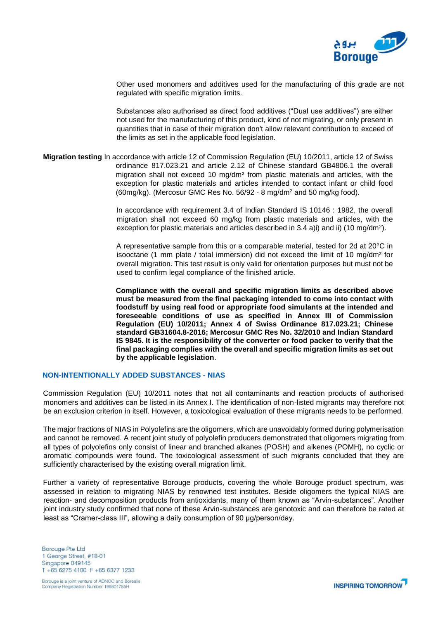

Other used monomers and additives used for the manufacturing of this grade are not regulated with specific migration limits.

Substances also authorised as direct food additives ("Dual use additives") are either not used for the manufacturing of this product, kind of not migrating, or only present in quantities that in case of their migration don't allow relevant contribution to exceed of the limits as set in the applicable food legislation.

**Migration testing** In accordance with article 12 of Commission Regulation (EU) 10/2011, article 12 of Swiss ordinance 817.023.21 and article 2.12 of Chinese standard GB4806.1 the overall migration shall not exceed 10 mg/dm² from plastic materials and articles, with the exception for plastic materials and articles intended to contact infant or child food (60mg/kg). (Mercosur GMC Res No. 56/92 - 8 mg/dm<sup>2</sup> and 50 mg/kg food).

> In accordance with requirement 3.4 of Indian Standard IS 10146 : 1982, the overall migration shall not exceed 60 mg/kg from plastic materials and articles, with the exception for plastic materials and articles described in 3.4 a)i) and ii) (10 mg/dm<sup>2</sup>).

> A representative sample from this or a comparable material, tested for 2d at 20°C in isooctane (1 mm plate / total immersion) did not exceed the limit of 10 mg/dm² for overall migration. This test result is only valid for orientation purposes but must not be used to confirm legal compliance of the finished article.

> **Compliance with the overall and specific migration limits as described above must be measured from the final packaging intended to come into contact with foodstuff by using real food or appropriate food simulants at the intended and foreseeable conditions of use as specified in Annex III of Commission Regulation (EU) 10/2011; Annex 4 of Swiss Ordinance 817.023.21; Chinese standard GB31604.8-2016; Mercosur GMC Res No. 32/2010 and Indian Standard IS 9845. It is the responsibility of the converter or food packer to verify that the final packaging complies with the overall and specific migration limits as set out by the applicable legislation**.

#### **NON-INTENTIONALLY ADDED SUBSTANCES - NIAS**

Commission Regulation (EU) 10/2011 notes that not all contaminants and reaction products of authorised monomers and additives can be listed in its Annex I. The identification of non-listed migrants may therefore not be an exclusion criterion in itself. However, a toxicological evaluation of these migrants needs to be performed.

The major fractions of NIAS in Polyolefins are the oligomers, which are unavoidably formed during polymerisation and cannot be removed. A recent joint study of polyolefin producers demonstrated that oligomers migrating from all types of polyolefins only consist of linear and branched alkanes (POSH) and alkenes (POMH), no cyclic or aromatic compounds were found. The toxicological assessment of such migrants concluded that they are sufficiently characterised by the existing overall migration limit.

Further a variety of representative Borouge products, covering the whole Borouge product spectrum, was assessed in relation to migrating NIAS by renowned test institutes. Beside oligomers the typical NIAS are reaction- and decomposition products from antioxidants, many of them known as "Arvin-substances". Another joint industry study confirmed that none of these Arvin-substances are genotoxic and can therefore be rated at least as "Cramer-class III", allowing a daily consumption of 90 μg/person/day.

Borouge Pte Ltd 1 George Street, #18-01 Singapore 049145 T +65 6275 4100 F +65 6377 1233

Borouge is a joint venture of ADNOC and Borealis Company Registration Number 199801755H